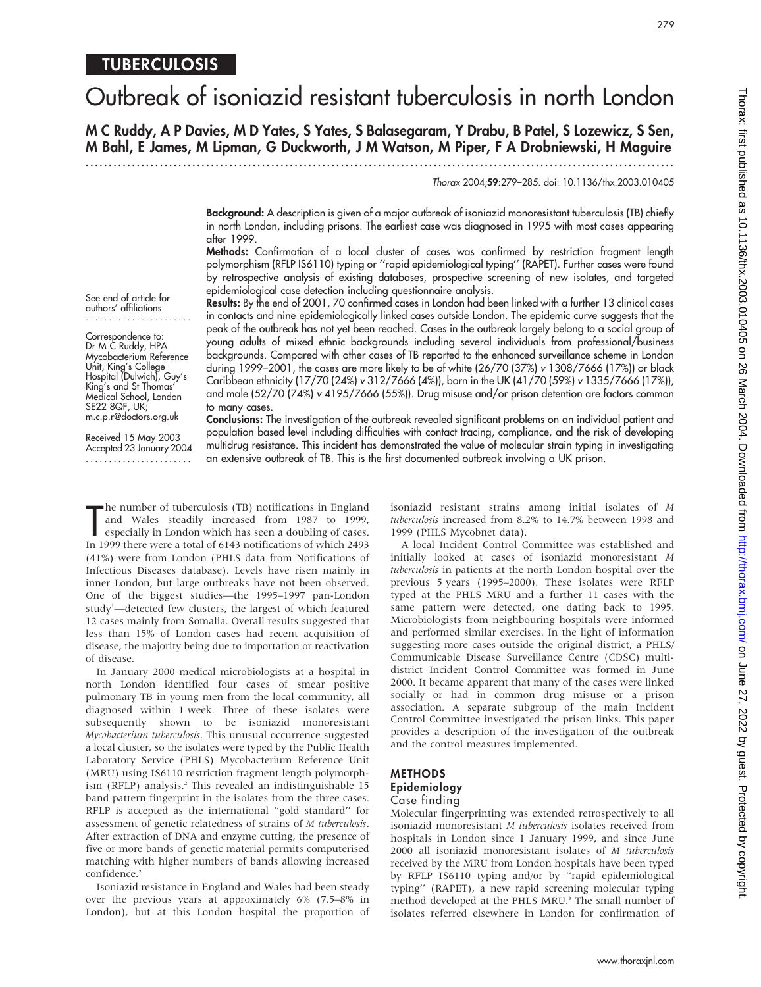# **TUBERCULOSIS**

# Outbreak of isoniazid resistant tuberculosis in north London

M C Ruddy, A P Davies, M D Yates, S Yates, S Balasegaram, Y Drabu, B Patel, S Lozewicz, S Sen, M Bahl, E James, M Lipman, G Duckworth, J M Watson, M Piper, F A Drobniewski, H Maguire

.............................................................................................................................. .

Thorax 2004;59:279–285. doi: 10.1136/thx.2003.010405

279

Background: A description is given of a major outbreak of isoniazid monoresistant tuberculosis (TB) chiefly in north London, including prisons. The earliest case was diagnosed in 1995 with most cases appearing after 1999.

Methods: Confirmation of a local cluster of cases was confirmed by restriction fragment length polymorphism (RFLP IS6110) typing or "rapid epidemiological typing" (RAPET). Further cases were found by retrospective analysis of existing databases, prospective screening of new isolates, and targeted epidemiological case detection including questionnaire analysis.

See end of article for authors' affiliations .......................

Correspondence to: Dr M C Ruddy, HPA Mycobacterium Reference Unit, King's College Hospital (Dulwich), Guy's King's and St Thomas' Medical School, London SE22 8QF, UK; m.c.p.r@doctors.org.uk

Received 15 May 2003 Accepted 23 January 2004 .......................

Results: By the end of 2001, 70 confirmed cases in London had been linked with a further 13 clinical cases in contacts and nine epidemiologically linked cases outside London. The epidemic curve suggests that the peak of the outbreak has not yet been reached. Cases in the outbreak largely belong to a social group of young adults of mixed ethnic backgrounds including several individuals from professional/business backgrounds. Compared with other cases of TB reported to the enhanced surveillance scheme in London during 1999–2001, the cases are more likely to be of white (26/70 (37%) v 1308/7666 (17%)) or black Caribbean ethnicity (17/70 (24%) v 312/7666 (4%)), born in the UK (41/70 (59%) v 1335/7666 (17%)), and male (52/70 (74%) v 4195/7666 (55%)). Drug misuse and/or prison detention are factors common to many cases.

Conclusions: The investigation of the outbreak revealed significant problems on an individual patient and population based level including difficulties with contact tracing, compliance, and the risk of developing multidrug resistance. This incident has demonstrated the value of molecular strain typing in investigating an extensive outbreak of TB. This is the first documented outbreak involving a UK prison.

The number of tuberculosis (TB) notifications in England<br>
and Wales steadily increased from 1987 to 1999,<br>
especially in London which has seen a doubling of cases.<br>
In 1999 there were a total of 6143 notifications of which he number of tuberculosis (TB) notifications in England and Wales steadily increased from 1987 to 1999, especially in London which has seen a doubling of cases. (41%) were from London (PHLS data from Notifications of Infectious Diseases database). Levels have risen mainly in inner London, but large outbreaks have not been observed. One of the biggest studies—the 1995–1997 pan-London study<sup>1</sup>-detected few clusters, the largest of which featured 12 cases mainly from Somalia. Overall results suggested that less than 15% of London cases had recent acquisition of disease, the majority being due to importation or reactivation of disease.

In January 2000 medical microbiologists at a hospital in north London identified four cases of smear positive pulmonary TB in young men from the local community, all diagnosed within 1 week. Three of these isolates were subsequently shown to be isoniazid monoresistant Mycobacterium tuberculosis. This unusual occurrence suggested a local cluster, so the isolates were typed by the Public Health Laboratory Service (PHLS) Mycobacterium Reference Unit (MRU) using IS6110 restriction fragment length polymorphism (RFLP) analysis.<sup>2</sup> This revealed an indistinguishable 15 band pattern fingerprint in the isolates from the three cases. RFLP is accepted as the international "gold standard" for assessment of genetic relatedness of strains of M tuberculosis. After extraction of DNA and enzyme cutting, the presence of five or more bands of genetic material permits computerised matching with higher numbers of bands allowing increased confidence.<sup>2</sup>

Isoniazid resistance in England and Wales had been steady over the previous years at approximately 6% (7.5–8% in London), but at this London hospital the proportion of isoniazid resistant strains among initial isolates of M tuberculosis increased from 8.2% to 14.7% between 1998 and 1999 (PHLS Mycobnet data).

A local Incident Control Committee was established and initially looked at cases of isoniazid monoresistant M tuberculosis in patients at the north London hospital over the previous 5 years (1995–2000). These isolates were RFLP typed at the PHLS MRU and a further 11 cases with the same pattern were detected, one dating back to 1995. Microbiologists from neighbouring hospitals were informed and performed similar exercises. In the light of information suggesting more cases outside the original district, a PHLS/ Communicable Disease Surveillance Centre (CDSC) multidistrict Incident Control Committee was formed in June 2000. It became apparent that many of the cases were linked socially or had in common drug misuse or a prison association. A separate subgroup of the main Incident Control Committee investigated the prison links. This paper provides a description of the investigation of the outbreak and the control measures implemented.

# METHODS Epidemiology Case finding

Molecular fingerprinting was extended retrospectively to all isoniazid monoresistant M tuberculosis isolates received from hospitals in London since 1 January 1999, and since June 2000 all isoniazid monoresistant isolates of M tuberculosis received by the MRU from London hospitals have been typed by RFLP IS6110 typing and/or by ''rapid epidemiological typing'' (RAPET), a new rapid screening molecular typing method developed at the PHLS MRU.<sup>3</sup> The small number of isolates referred elsewhere in London for confirmation of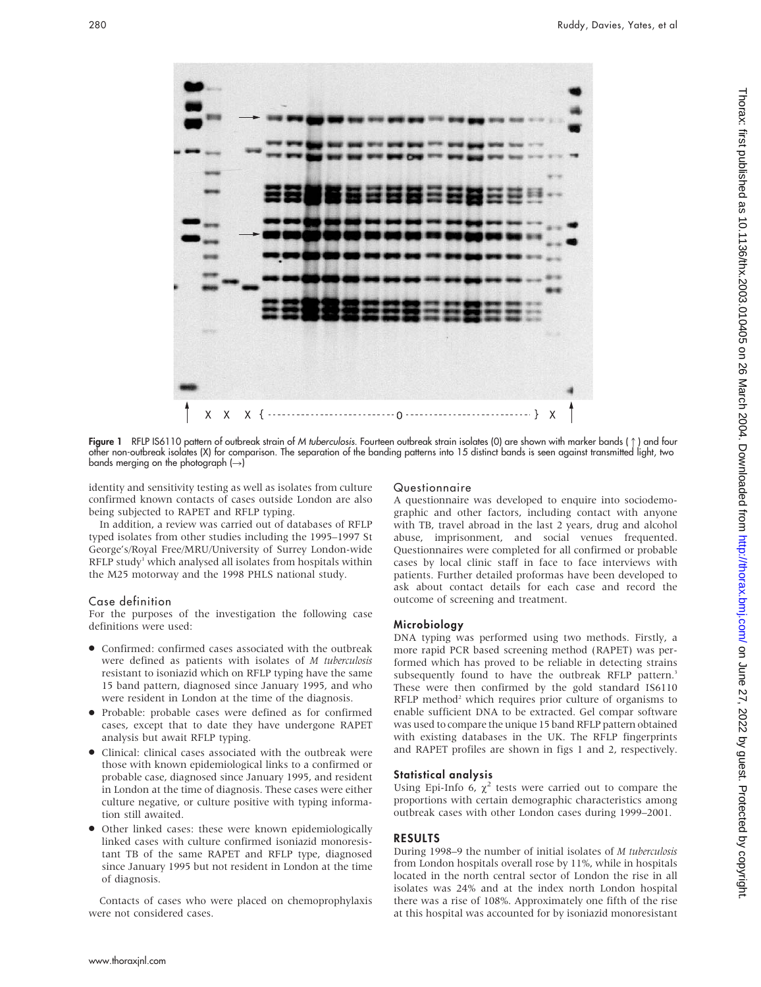

**Figure 1** RFLP IS6110 pattern ot outbreak strain ot *M tuberculosis*. Fourteen outbreak strain isolates (0) are shown with marker bands (↑) and tour other non-outbreak isolates (X) for comparison. The separation of the banding patterns into 15 distinct bands is seen against transmitted light, two bands merging on the photograph  $(\rightarrow)$ 

identity and sensitivity testing as well as isolates from culture confirmed known contacts of cases outside London are also being subjected to RAPET and RFLP typing.

In addition, a review was carried out of databases of RFLP typed isolates from other studies including the 1995–1997 St George's/Royal Free/MRU/University of Surrey London-wide RFLP study<sup>1</sup> which analysed all isolates from hospitals within the M25 motorway and the 1998 PHLS national study.

# Case definition

For the purposes of the investigation the following case definitions were used:

- N Confirmed: confirmed cases associated with the outbreak were defined as patients with isolates of M tuberculosis resistant to isoniazid which on RFLP typing have the same 15 band pattern, diagnosed since January 1995, and who were resident in London at the time of the diagnosis.
- N Probable: probable cases were defined as for confirmed cases, except that to date they have undergone RAPET analysis but await RFLP typing.
- Clinical: clinical cases associated with the outbreak were those with known epidemiological links to a confirmed or probable case, diagnosed since January 1995, and resident in London at the time of diagnosis. These cases were either culture negative, or culture positive with typing information still awaited.
- Other linked cases: these were known epidemiologically linked cases with culture confirmed isoniazid monoresistant TB of the same RAPET and RFLP type, diagnosed since January 1995 but not resident in London at the time of diagnosis.

Contacts of cases who were placed on chemoprophylaxis were not considered cases.

#### Questionnaire

A questionnaire was developed to enquire into sociodemographic and other factors, including contact with anyone with TB, travel abroad in the last 2 years, drug and alcohol abuse, imprisonment, and social venues frequented. Questionnaires were completed for all confirmed or probable cases by local clinic staff in face to face interviews with patients. Further detailed proformas have been developed to ask about contact details for each case and record the outcome of screening and treatment.

# Microbiology

DNA typing was performed using two methods. Firstly, a more rapid PCR based screening method (RAPET) was performed which has proved to be reliable in detecting strains subsequently found to have the outbreak RFLP pattern.<sup>3</sup> These were then confirmed by the gold standard IS6110 RFLP method<sup>2</sup> which requires prior culture of organisms to enable sufficient DNA to be extracted. Gel compar software was used to compare the unique 15 band RFLP pattern obtained with existing databases in the UK. The RFLP fingerprints and RAPET profiles are shown in figs 1 and 2, respectively.

# Statistical analysis

Using Epi-Info 6,  $\chi^2$  tests were carried out to compare the proportions with certain demographic characteristics among outbreak cases with other London cases during 1999–2001.

# RESULTS

During 1998–9 the number of initial isolates of M tuberculosis from London hospitals overall rose by 11%, while in hospitals located in the north central sector of London the rise in all isolates was 24% and at the index north London hospital there was a rise of 108%. Approximately one fifth of the rise at this hospital was accounted for by isoniazid monoresistant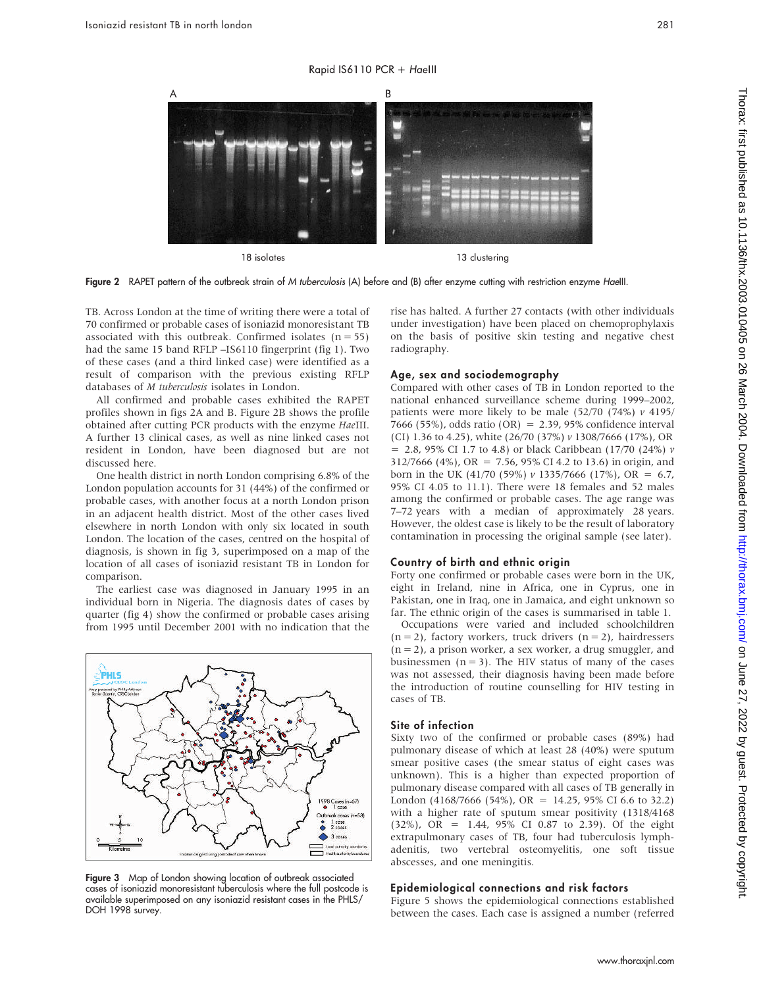#### Rapid IS6110 PCR + HaeIII



18 isolates 13 clustering



TB. Across London at the time of writing there were a total of 70 confirmed or probable cases of isoniazid monoresistant TB associated with this outbreak. Confirmed isolates  $(n = 55)$ had the same 15 band RFLP –IS6110 fingerprint (fig 1). Two of these cases (and a third linked case) were identified as a result of comparison with the previous existing RFLP databases of M tuberculosis isolates in London.

All confirmed and probable cases exhibited the RAPET profiles shown in figs 2A and B. Figure 2B shows the profile obtained after cutting PCR products with the enzyme HaeIII. A further 13 clinical cases, as well as nine linked cases not resident in London, have been diagnosed but are not discussed here.

One health district in north London comprising 6.8% of the London population accounts for 31 (44%) of the confirmed or probable cases, with another focus at a north London prison in an adjacent health district. Most of the other cases lived elsewhere in north London with only six located in south London. The location of the cases, centred on the hospital of diagnosis, is shown in fig 3, superimposed on a map of the location of all cases of isoniazid resistant TB in London for comparison.

The earliest case was diagnosed in January 1995 in an individual born in Nigeria. The diagnosis dates of cases by quarter (fig 4) show the confirmed or probable cases arising from 1995 until December 2001 with no indication that the



Figure 3 Map of London showing location of outbreak associated cases of isoniazid monoresistant tuberculosis where the full postcode is available superimposed on any isoniazid resistant cases in the PHLS/ DOH 1998 survey.

rise has halted. A further 27 contacts (with other individuals under investigation) have been placed on chemoprophylaxis on the basis of positive skin testing and negative chest radiography.

# Age, sex and sociodemography

Compared with other cases of TB in London reported to the national enhanced surveillance scheme during 1999–2002, patients were more likely to be male  $(52/70)$   $(74%)$   $\nu$  4195/ 7666 (55%), odds ratio (OR) =  $2.39.95\%$  confidence interval (CI) 1.36 to 4.25), white (26/70 (37%) v 1308/7666 (17%), OR  $= 2.8, 95\%$  CI 1.7 to 4.8) or black Caribbean (17/70 (24%)  $\nu$ 312/7666 (4%), OR = 7.56, 95% CI 4.2 to 13.6) in origin, and born in the UK (41/70 (59%) v 1335/7666 (17%), OR = 6.7, 95% CI 4.05 to 11.1). There were 18 females and 52 males among the confirmed or probable cases. The age range was 7–72 years with a median of approximately 28 years. However, the oldest case is likely to be the result of laboratory contamination in processing the original sample (see later).

# Country of birth and ethnic origin

Forty one confirmed or probable cases were born in the UK, eight in Ireland, nine in Africa, one in Cyprus, one in Pakistan, one in Iraq, one in Jamaica, and eight unknown so far. The ethnic origin of the cases is summarised in table 1.

Occupations were varied and included schoolchildren  $(n = 2)$ , factory workers, truck drivers  $(n = 2)$ , hairdressers  $(n = 2)$ , a prison worker, a sex worker, a drug smuggler, and businessmen  $(n = 3)$ . The HIV status of many of the cases was not assessed, their diagnosis having been made before the introduction of routine counselling for HIV testing in cases of TB.

# Site of infection

Sixty two of the confirmed or probable cases (89%) had pulmonary disease of which at least 28 (40%) were sputum smear positive cases (the smear status of eight cases was unknown). This is a higher than expected proportion of pulmonary disease compared with all cases of TB generally in London (4168/7666 (54%), OR = 14.25, 95% CI 6.6 to 32.2) with a higher rate of sputum smear positivity (1318/4168 (32%), OR = 1.44, 95% CI 0.87 to 2.39). Of the eight extrapulmonary cases of TB, four had tuberculosis lymphadenitis, two vertebral osteomyelitis, one soft tissue abscesses, and one meningitis.

# Epidemiological connections and risk factors

Figure 5 shows the epidemiological connections established between the cases. Each case is assigned a number (referred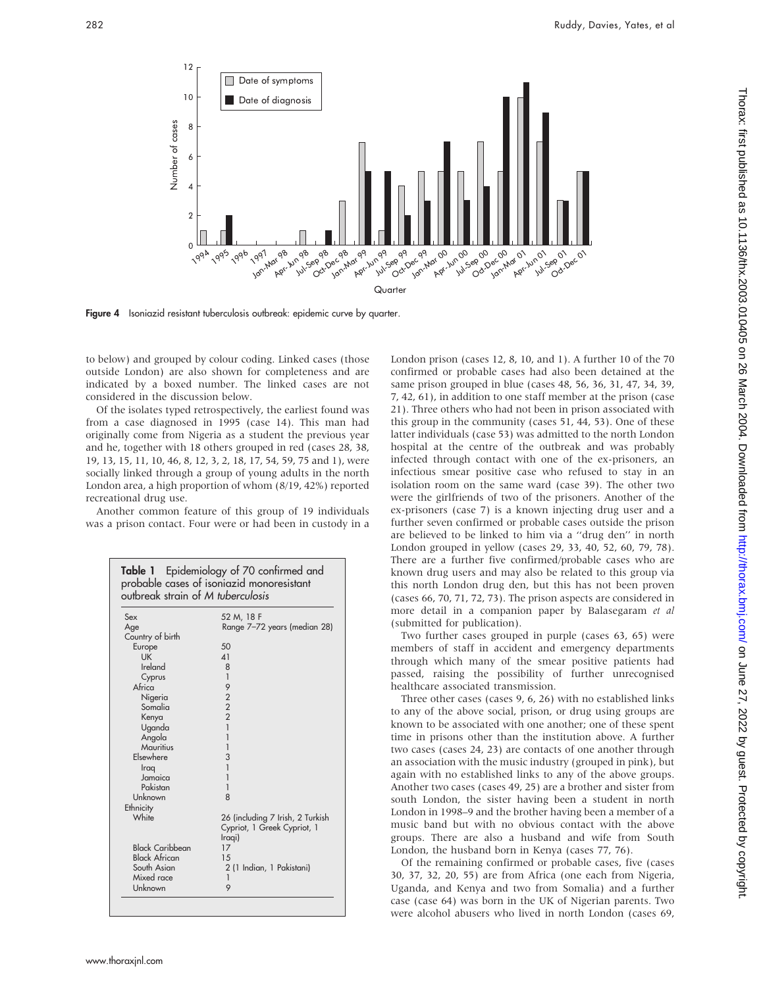

Figure 4 Isoniazid resistant tuberculosis outbreak: epidemic curve by quarter.

to below) and grouped by colour coding. Linked cases (those outside London) are also shown for completeness and are indicated by a boxed number. The linked cases are not considered in the discussion below.

Of the isolates typed retrospectively, the earliest found was from a case diagnosed in 1995 (case 14). This man had originally come from Nigeria as a student the previous year and he, together with 18 others grouped in red (cases 28, 38, 19, 13, 15, 11, 10, 46, 8, 12, 3, 2, 18, 17, 54, 59, 75 and 1), were socially linked through a group of young adults in the north London area, a high proportion of whom (8/19, 42%) reported recreational drug use.

Another common feature of this group of 19 individuals was a prison contact. Four were or had been in custody in a

| <b>Table 1</b> Epidemiology of 70 confirmed and<br>probable cases of isoniazid monoresistant<br>outbreak strain of M tuberculosis |                                              |
|-----------------------------------------------------------------------------------------------------------------------------------|----------------------------------------------|
| Sex                                                                                                                               | 52 M, 18 F                                   |
| Age                                                                                                                               | Range 7-72 years (median 28)                 |
| Country of birth                                                                                                                  |                                              |
| Europe                                                                                                                            | $50^{\circ}$                                 |
| <b>IJK</b>                                                                                                                        | $\Delta$ 1                                   |
| Ireland                                                                                                                           | 8                                            |
| Cyprus                                                                                                                            | 1                                            |
| Africa                                                                                                                            | 9                                            |
| Nigeria                                                                                                                           |                                              |
| Somalia                                                                                                                           | $\begin{array}{c}\n2 \\ 2 \\ 2\n\end{array}$ |
| Kenya                                                                                                                             |                                              |
| Uganda                                                                                                                            | 1                                            |
| Angola                                                                                                                            | 1                                            |
| Mauritius                                                                                                                         | 1                                            |
| Elsewhere                                                                                                                         | 3                                            |
| Iraq                                                                                                                              | 1                                            |
| Jamaica                                                                                                                           |                                              |
| Pakistan                                                                                                                          | 1                                            |
| Unknown                                                                                                                           | $\mathsf{R}$                                 |
| Ethnicity                                                                                                                         |                                              |
| White                                                                                                                             | 26 (including 7 Irish, 2 Turkish             |
|                                                                                                                                   | Cypriot, 1 Greek Cypriot, 1                  |
|                                                                                                                                   | Iraqi)                                       |
| <b>Black Caribbean</b>                                                                                                            | 17                                           |
| <b>Black African</b>                                                                                                              | 15                                           |
| South Asian                                                                                                                       | 2 (1 Indian, 1 Pakistani)                    |
| Mixed race                                                                                                                        | $\mathbf{1}$                                 |
| Unknown                                                                                                                           | 9                                            |

London prison (cases 12, 8, 10, and 1). A further 10 of the 70 confirmed or probable cases had also been detained at the same prison grouped in blue (cases 48, 56, 36, 31, 47, 34, 39, 7, 42, 61), in addition to one staff member at the prison (case 21). Three others who had not been in prison associated with this group in the community (cases 51, 44, 53). One of these latter individuals (case 53) was admitted to the north London hospital at the centre of the outbreak and was probably infected through contact with one of the ex-prisoners, an infectious smear positive case who refused to stay in an isolation room on the same ward (case 39). The other two were the girlfriends of two of the prisoners. Another of the ex-prisoners (case 7) is a known injecting drug user and a further seven confirmed or probable cases outside the prison are believed to be linked to him via a ''drug den'' in north London grouped in yellow (cases 29, 33, 40, 52, 60, 79, 78). There are a further five confirmed/probable cases who are known drug users and may also be related to this group via this north London drug den, but this has not been proven (cases 66, 70, 71, 72, 73). The prison aspects are considered in more detail in a companion paper by Balasegaram et al (submitted for publication).

Two further cases grouped in purple (cases 63, 65) were members of staff in accident and emergency departments through which many of the smear positive patients had passed, raising the possibility of further unrecognised healthcare associated transmission.

Three other cases (cases 9, 6, 26) with no established links to any of the above social, prison, or drug using groups are known to be associated with one another; one of these spent time in prisons other than the institution above. A further two cases (cases 24, 23) are contacts of one another through an association with the music industry (grouped in pink), but again with no established links to any of the above groups. Another two cases (cases 49, 25) are a brother and sister from south London, the sister having been a student in north London in 1998–9 and the brother having been a member of a music band but with no obvious contact with the above groups. There are also a husband and wife from South London, the husband born in Kenya (cases 77, 76).

Of the remaining confirmed or probable cases, five (cases 30, 37, 32, 20, 55) are from Africa (one each from Nigeria, Uganda, and Kenya and two from Somalia) and a further case (case 64) was born in the UK of Nigerian parents. Two were alcohol abusers who lived in north London (cases 69,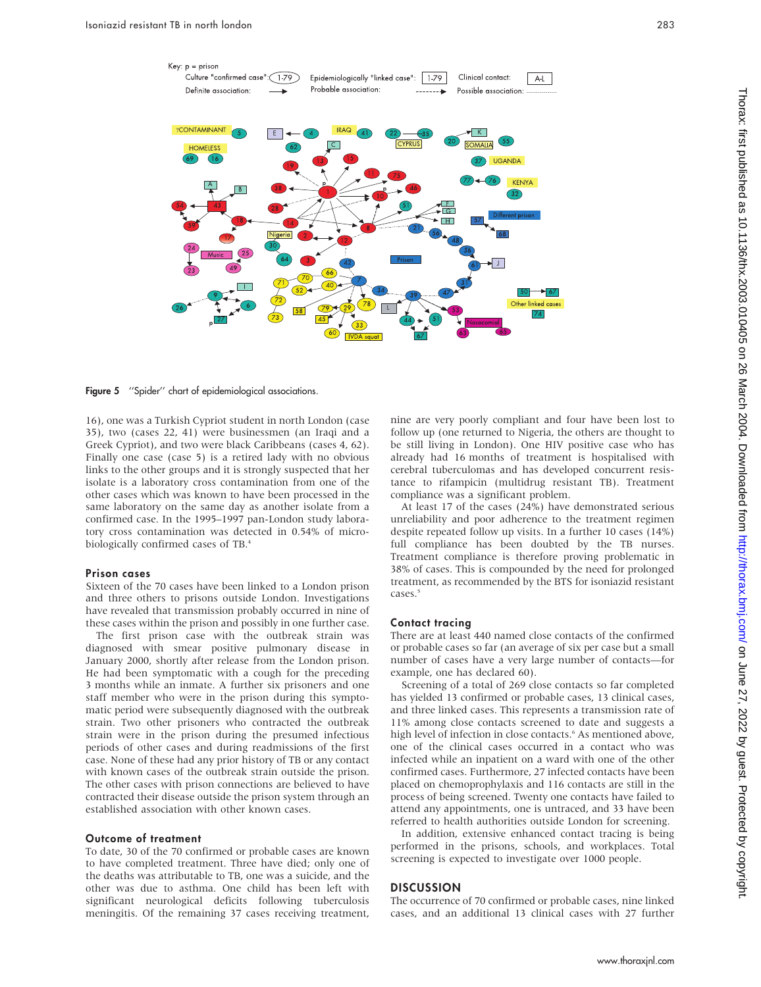

Figure 5 "Spider" chart of epidemiological associations.

16), one was a Turkish Cypriot student in north London (case 35), two (cases 22, 41) were businessmen (an Iraqi and a Greek Cypriot), and two were black Caribbeans (cases 4, 62). Finally one case (case 5) is a retired lady with no obvious links to the other groups and it is strongly suspected that her isolate is a laboratory cross contamination from one of the other cases which was known to have been processed in the same laboratory on the same day as another isolate from a confirmed case. In the 1995–1997 pan-London study laboratory cross contamination was detected in 0.54% of microbiologically confirmed cases of TB.4

# Prison cases

Sixteen of the 70 cases have been linked to a London prison and three others to prisons outside London. Investigations have revealed that transmission probably occurred in nine of these cases within the prison and possibly in one further case.

The first prison case with the outbreak strain was diagnosed with smear positive pulmonary disease in January 2000, shortly after release from the London prison. He had been symptomatic with a cough for the preceding 3 months while an inmate. A further six prisoners and one staff member who were in the prison during this symptomatic period were subsequently diagnosed with the outbreak strain. Two other prisoners who contracted the outbreak strain were in the prison during the presumed infectious periods of other cases and during readmissions of the first case. None of these had any prior history of TB or any contact with known cases of the outbreak strain outside the prison. The other cases with prison connections are believed to have contracted their disease outside the prison system through an established association with other known cases.

# Outcome of treatment

To date, 30 of the 70 confirmed or probable cases are known to have completed treatment. Three have died; only one of the deaths was attributable to TB, one was a suicide, and the other was due to asthma. One child has been left with significant neurological deficits following tuberculosis meningitis. Of the remaining 37 cases receiving treatment,

nine are very poorly compliant and four have been lost to follow up (one returned to Nigeria, the others are thought to be still living in London). One HIV positive case who has already had 16 months of treatment is hospitalised with cerebral tuberculomas and has developed concurrent resistance to rifampicin (multidrug resistant TB). Treatment compliance was a significant problem.

At least 17 of the cases (24%) have demonstrated serious unreliability and poor adherence to the treatment regimen despite repeated follow up visits. In a further 10 cases (14%) full compliance has been doubted by the TB nurses. Treatment compliance is therefore proving problematic in 38% of cases. This is compounded by the need for prolonged treatment, as recommended by the BTS for isoniazid resistant cases.<sup>5</sup>

# Contact tracing

There are at least 440 named close contacts of the confirmed or probable cases so far (an average of six per case but a small number of cases have a very large number of contacts—for example, one has declared 60).

Screening of a total of 269 close contacts so far completed has yielded 13 confirmed or probable cases, 13 clinical cases, and three linked cases. This represents a transmission rate of 11% among close contacts screened to date and suggests a high level of infection in close contacts.<sup>6</sup> As mentioned above, one of the clinical cases occurred in a contact who was infected while an inpatient on a ward with one of the other confirmed cases. Furthermore, 27 infected contacts have been placed on chemoprophylaxis and 116 contacts are still in the process of being screened. Twenty one contacts have failed to attend any appointments, one is untraced, and 33 have been referred to health authorities outside London for screening.

In addition, extensive enhanced contact tracing is being performed in the prisons, schools, and workplaces. Total screening is expected to investigate over 1000 people.

# **DISCUSSION**

The occurrence of 70 confirmed or probable cases, nine linked cases, and an additional 13 clinical cases with 27 further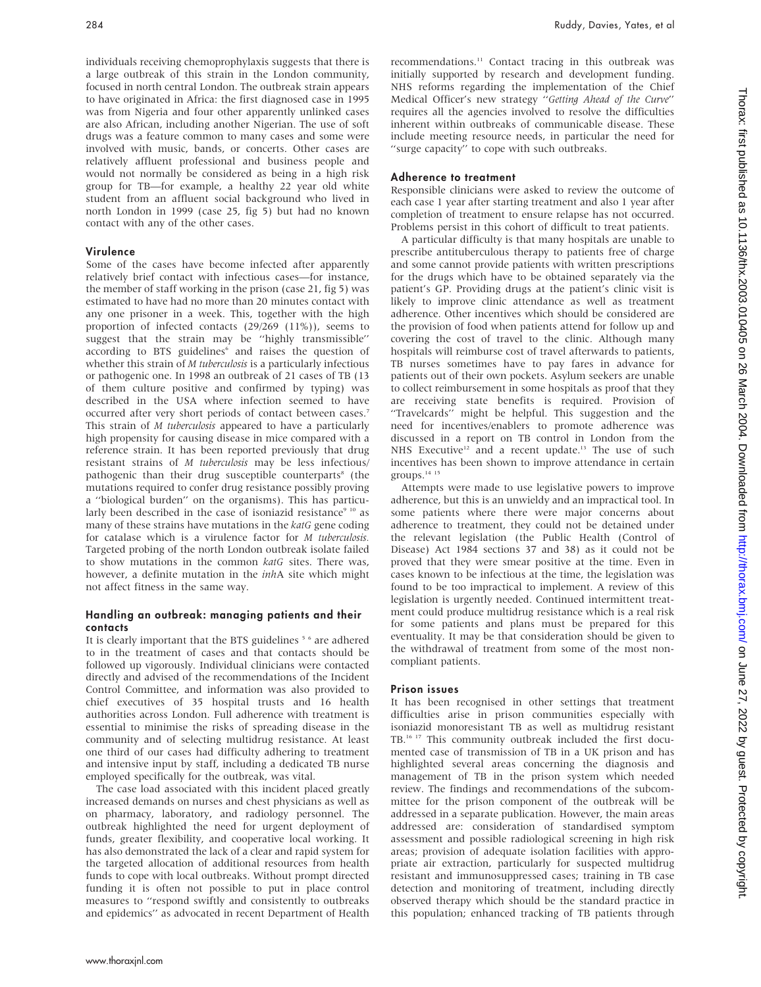individuals receiving chemoprophylaxis suggests that there is a large outbreak of this strain in the London community, focused in north central London. The outbreak strain appears to have originated in Africa: the first diagnosed case in 1995 was from Nigeria and four other apparently unlinked cases are also African, including another Nigerian. The use of soft drugs was a feature common to many cases and some were involved with music, bands, or concerts. Other cases are relatively affluent professional and business people and would not normally be considered as being in a high risk group for TB—for example, a healthy 22 year old white student from an affluent social background who lived in north London in 1999 (case 25, fig 5) but had no known contact with any of the other cases.

# Virulence

Some of the cases have become infected after apparently relatively brief contact with infectious cases—for instance, the member of staff working in the prison (case 21, fig 5) was estimated to have had no more than 20 minutes contact with any one prisoner in a week. This, together with the high proportion of infected contacts (29/269 (11%)), seems to suggest that the strain may be ''highly transmissible'' according to BTS guidelines<sup>6</sup> and raises the question of whether this strain of *M* tuberculosis is a particularly infectious or pathogenic one. In 1998 an outbreak of 21 cases of TB (13 of them culture positive and confirmed by typing) was described in the USA where infection seemed to have occurred after very short periods of contact between cases.7 This strain of *M tuberculosis* appeared to have a particularly high propensity for causing disease in mice compared with a reference strain. It has been reported previously that drug resistant strains of M tuberculosis may be less infectious/ pathogenic than their drug susceptible counterparts<sup>8</sup> (the mutations required to confer drug resistance possibly proving a ''biological burden'' on the organisms). This has particularly been described in the case of isoniazid resistance<sup>9 10</sup> as many of these strains have mutations in the katG gene coding for catalase which is a virulence factor for M tuberculosis. Targeted probing of the north London outbreak isolate failed to show mutations in the common katG sites. There was, however, a definite mutation in the *inhA* site which might not affect fitness in the same way.

# Handling an outbreak: managing patients and their contacts

It is clearly important that the BTS guidelines<sup>56</sup> are adhered to in the treatment of cases and that contacts should be followed up vigorously. Individual clinicians were contacted directly and advised of the recommendations of the Incident Control Committee, and information was also provided to chief executives of 35 hospital trusts and 16 health authorities across London. Full adherence with treatment is essential to minimise the risks of spreading disease in the community and of selecting multidrug resistance. At least one third of our cases had difficulty adhering to treatment and intensive input by staff, including a dedicated TB nurse employed specifically for the outbreak, was vital.

The case load associated with this incident placed greatly increased demands on nurses and chest physicians as well as on pharmacy, laboratory, and radiology personnel. The outbreak highlighted the need for urgent deployment of funds, greater flexibility, and cooperative local working. It has also demonstrated the lack of a clear and rapid system for the targeted allocation of additional resources from health funds to cope with local outbreaks. Without prompt directed funding it is often not possible to put in place control measures to ''respond swiftly and consistently to outbreaks and epidemics'' as advocated in recent Department of Health recommendations.<sup>11</sup> Contact tracing in this outbreak was initially supported by research and development funding. NHS reforms regarding the implementation of the Chief Medical Officer's new strategy ''Getting Ahead of the Curve'' requires all the agencies involved to resolve the difficulties inherent within outbreaks of communicable disease. These include meeting resource needs, in particular the need for "surge capacity" to cope with such outbreaks.

# Adherence to treatment

Responsible clinicians were asked to review the outcome of each case 1 year after starting treatment and also 1 year after completion of treatment to ensure relapse has not occurred. Problems persist in this cohort of difficult to treat patients.

A particular difficulty is that many hospitals are unable to prescribe antituberculous therapy to patients free of charge and some cannot provide patients with written prescriptions for the drugs which have to be obtained separately via the patient's GP. Providing drugs at the patient's clinic visit is likely to improve clinic attendance as well as treatment adherence. Other incentives which should be considered are the provision of food when patients attend for follow up and covering the cost of travel to the clinic. Although many hospitals will reimburse cost of travel afterwards to patients, TB nurses sometimes have to pay fares in advance for patients out of their own pockets. Asylum seekers are unable to collect reimbursement in some hospitals as proof that they are receiving state benefits is required. Provision of ''Travelcards'' might be helpful. This suggestion and the need for incentives/enablers to promote adherence was discussed in a report on TB control in London from the NHS Executive<sup>12</sup> and a recent update.<sup>13</sup> The use of such incentives has been shown to improve attendance in certain groups.<sup>14 15</sup>

Attempts were made to use legislative powers to improve adherence, but this is an unwieldy and an impractical tool. In some patients where there were major concerns about adherence to treatment, they could not be detained under the relevant legislation (the Public Health (Control of Disease) Act 1984 sections 37 and 38) as it could not be proved that they were smear positive at the time. Even in cases known to be infectious at the time, the legislation was found to be too impractical to implement. A review of this legislation is urgently needed. Continued intermittent treatment could produce multidrug resistance which is a real risk for some patients and plans must be prepared for this eventuality. It may be that consideration should be given to the withdrawal of treatment from some of the most noncompliant patients.

# Prison issues

It has been recognised in other settings that treatment difficulties arise in prison communities especially with isoniazid monoresistant TB as well as multidrug resistant TB.16 17 This community outbreak included the first documented case of transmission of TB in a UK prison and has highlighted several areas concerning the diagnosis and management of TB in the prison system which needed review. The findings and recommendations of the subcommittee for the prison component of the outbreak will be addressed in a separate publication. However, the main areas addressed are: consideration of standardised symptom assessment and possible radiological screening in high risk areas; provision of adequate isolation facilities with appropriate air extraction, particularly for suspected multidrug resistant and immunosuppressed cases; training in TB case detection and monitoring of treatment, including directly observed therapy which should be the standard practice in this population; enhanced tracking of TB patients through